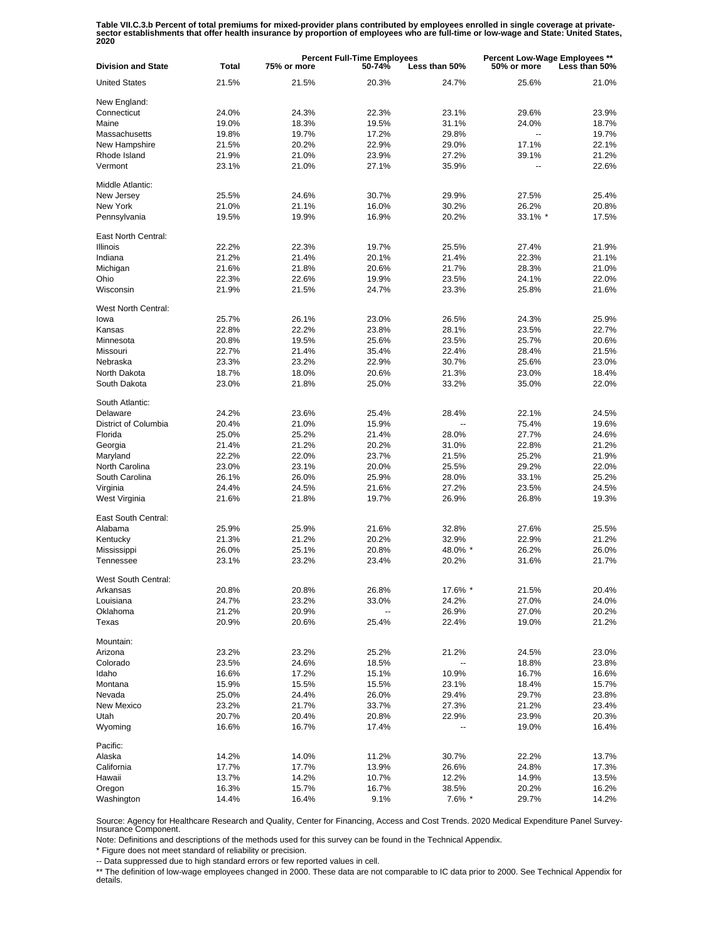Table VII.C.3.b Percent of total premiums for mixed-provider plans contributed by employees enrolled in single coverage at private-<br>sector establishments that offer health insurance by proportion of employees who are full-

| <b>Division and State</b> | <b>Total</b> | <b>Percent Full-Time Employees</b><br>50-74%<br>75% or more<br>Less than 50% |       |                          | Percent Low-Wage Employees **<br>50% or more<br>Less than 50% |       |
|---------------------------|--------------|------------------------------------------------------------------------------|-------|--------------------------|---------------------------------------------------------------|-------|
| <b>United States</b>      | 21.5%        | 21.5%                                                                        | 20.3% | 24.7%                    | 25.6%                                                         | 21.0% |
| New England:              |              |                                                                              |       |                          |                                                               |       |
| Connecticut               | 24.0%        | 24.3%                                                                        | 22.3% | 23.1%                    | 29.6%                                                         | 23.9% |
| Maine                     | 19.0%        | 18.3%                                                                        | 19.5% | 31.1%                    | 24.0%                                                         | 18.7% |
| Massachusetts             | 19.8%        | 19.7%                                                                        | 17.2% | 29.8%                    | Ш,                                                            | 19.7% |
| New Hampshire             | 21.5%        | 20.2%                                                                        | 22.9% | 29.0%                    | 17.1%                                                         | 22.1% |
| Rhode Island              | 21.9%        | 21.0%                                                                        | 23.9% | 27.2%                    | 39.1%                                                         | 21.2% |
|                           |              |                                                                              |       |                          |                                                               |       |
| Vermont                   | 23.1%        | 21.0%                                                                        | 27.1% | 35.9%                    | $\overline{\phantom{a}}$                                      | 22.6% |
| Middle Atlantic:          |              |                                                                              |       |                          |                                                               |       |
| New Jersey                | 25.5%        | 24.6%                                                                        | 30.7% | 29.9%                    | 27.5%                                                         | 25.4% |
| New York                  | 21.0%        | 21.1%                                                                        | 16.0% | 30.2%                    | 26.2%                                                         | 20.8% |
| Pennsylvania              | 19.5%        | 19.9%                                                                        | 16.9% | 20.2%                    | 33.1% *                                                       | 17.5% |
| East North Central:       |              |                                                                              |       |                          |                                                               |       |
| Illinois                  | 22.2%        | 22.3%                                                                        | 19.7% | 25.5%                    | 27.4%                                                         | 21.9% |
| Indiana                   | 21.2%        | 21.4%                                                                        | 20.1% | 21.4%                    | 22.3%                                                         | 21.1% |
| Michigan                  | 21.6%        | 21.8%                                                                        | 20.6% | 21.7%                    | 28.3%                                                         | 21.0% |
| Ohio                      | 22.3%        | 22.6%                                                                        | 19.9% | 23.5%                    | 24.1%                                                         | 22.0% |
| Wisconsin                 | 21.9%        | 21.5%                                                                        | 24.7% | 23.3%                    | 25.8%                                                         | 21.6% |
|                           |              |                                                                              |       |                          |                                                               |       |
| West North Central:       |              |                                                                              |       |                          |                                                               |       |
| lowa                      | 25.7%        | 26.1%                                                                        | 23.0% | 26.5%                    | 24.3%                                                         | 25.9% |
| Kansas                    | 22.8%        | 22.2%                                                                        | 23.8% | 28.1%                    | 23.5%                                                         | 22.7% |
| Minnesota                 | 20.8%        | 19.5%                                                                        | 25.6% | 23.5%                    | 25.7%                                                         | 20.6% |
| Missouri                  | 22.7%        | 21.4%                                                                        | 35.4% | 22.4%                    | 28.4%                                                         | 21.5% |
| Nebraska                  | 23.3%        | 23.2%                                                                        | 22.9% | 30.7%                    | 25.6%                                                         | 23.0% |
| North Dakota              | 18.7%        | 18.0%                                                                        | 20.6% | 21.3%                    | 23.0%                                                         | 18.4% |
| South Dakota              | 23.0%        | 21.8%                                                                        | 25.0% | 33.2%                    | 35.0%                                                         | 22.0% |
|                           |              |                                                                              |       |                          |                                                               |       |
| South Atlantic:           |              |                                                                              |       |                          |                                                               |       |
| Delaware                  | 24.2%        | 23.6%                                                                        | 25.4% | 28.4%                    | 22.1%                                                         | 24.5% |
| District of Columbia      | 20.4%        | 21.0%                                                                        | 15.9% | $\overline{\phantom{a}}$ | 75.4%                                                         | 19.6% |
| Florida                   | 25.0%        | 25.2%                                                                        | 21.4% | 28.0%                    | 27.7%                                                         | 24.6% |
| Georgia                   | 21.4%        | 21.2%                                                                        | 20.2% | 31.0%                    | 22.8%                                                         | 21.2% |
| Maryland                  | 22.2%        | 22.0%                                                                        | 23.7% | 21.5%                    | 25.2%                                                         | 21.9% |
| North Carolina            | 23.0%        | 23.1%                                                                        | 20.0% | 25.5%                    | 29.2%                                                         | 22.0% |
|                           |              |                                                                              | 25.9% |                          |                                                               |       |
| South Carolina            | 26.1%        | 26.0%                                                                        |       | 28.0%                    | 33.1%                                                         | 25.2% |
| Virginia                  | 24.4%        | 24.5%                                                                        | 21.6% | 27.2%                    | 23.5%                                                         | 24.5% |
| West Virginia             | 21.6%        | 21.8%                                                                        | 19.7% | 26.9%                    | 26.8%                                                         | 19.3% |
| East South Central:       |              |                                                                              |       |                          |                                                               |       |
| Alabama                   | 25.9%        | 25.9%                                                                        | 21.6% | 32.8%                    | 27.6%                                                         | 25.5% |
| Kentucky                  | 21.3%        | 21.2%                                                                        | 20.2% | 32.9%                    | 22.9%                                                         | 21.2% |
| Mississippi               | 26.0%        | 25.1%                                                                        | 20.8% | 48.0% *                  | 26.2%                                                         | 26.0% |
| Tennessee                 | 23.1%        | 23.2%                                                                        | 23.4% | 20.2%                    | 31.6%                                                         | 21.7% |
|                           |              |                                                                              |       |                          |                                                               |       |
| West South Central:       |              |                                                                              |       |                          |                                                               |       |
| Arkansas                  | 20.8%        | 20.8%                                                                        | 26.8% | 17.6% *                  | 21.5%                                                         | 20.4% |
| Louisiana                 | 24.7%        | 23.2%                                                                        | 33.0% | 24.2%                    | 27.0%                                                         | 24.0% |
| Oklahoma                  | 21.2%        | 20.9%                                                                        |       | 26.9%                    | 27.0%                                                         | 20.2% |
| Texas                     | 20.9%        | 20.6%                                                                        | 25.4% | 22.4%                    | 19.0%                                                         | 21.2% |
| Mountain:                 |              |                                                                              |       |                          |                                                               |       |
| Arizona                   | 23.2%        | 23.2%                                                                        | 25.2% | 21.2%                    | 24.5%                                                         | 23.0% |
| Colorado                  | 23.5%        | 24.6%                                                                        | 18.5% |                          | 18.8%                                                         | 23.8% |
|                           |              |                                                                              |       |                          |                                                               |       |
| Idaho                     | 16.6%        | 17.2%                                                                        | 15.1% | 10.9%                    | 16.7%                                                         | 16.6% |
| Montana                   | 15.9%        | 15.5%                                                                        | 15.5% | 23.1%                    | 18.4%                                                         | 15.7% |
| Nevada                    | 25.0%        | 24.4%                                                                        | 26.0% | 29.4%                    | 29.7%                                                         | 23.8% |
| New Mexico                | 23.2%        | 21.7%                                                                        | 33.7% | 27.3%                    | 21.2%                                                         | 23.4% |
| Utah                      | 20.7%        | 20.4%                                                                        | 20.8% | 22.9%                    | 23.9%                                                         | 20.3% |
| Wyoming                   | 16.6%        | 16.7%                                                                        | 17.4% |                          | 19.0%                                                         | 16.4% |
| Pacific:                  |              |                                                                              |       |                          |                                                               |       |
| Alaska                    | 14.2%        | 14.0%                                                                        | 11.2% | 30.7%                    | 22.2%                                                         | 13.7% |
| California                | 17.7%        | 17.7%                                                                        | 13.9% | 26.6%                    | 24.8%                                                         | 17.3% |
|                           |              |                                                                              |       |                          |                                                               |       |
| Hawaii                    | 13.7%        | 14.2%                                                                        | 10.7% | 12.2%                    | 14.9%                                                         | 13.5% |
| Oregon                    | 16.3%        | 15.7%                                                                        | 16.7% | 38.5%                    | 20.2%                                                         | 16.2% |
| Washington                | 14.4%        | 16.4%                                                                        | 9.1%  | 7.6% *                   | 29.7%                                                         | 14.2% |

Source: Agency for Healthcare Research and Quality, Center for Financing, Access and Cost Trends. 2020 Medical Expenditure Panel Survey-Insurance Component.

Note: Definitions and descriptions of the methods used for this survey can be found in the Technical Appendix.

\* Figure does not meet standard of reliability or precision.

-- Data suppressed due to high standard errors or few reported values in cell.

\*\* The definition of low-wage employees changed in 2000. These data are not comparable to IC data prior to 2000. See Technical Appendix for details.